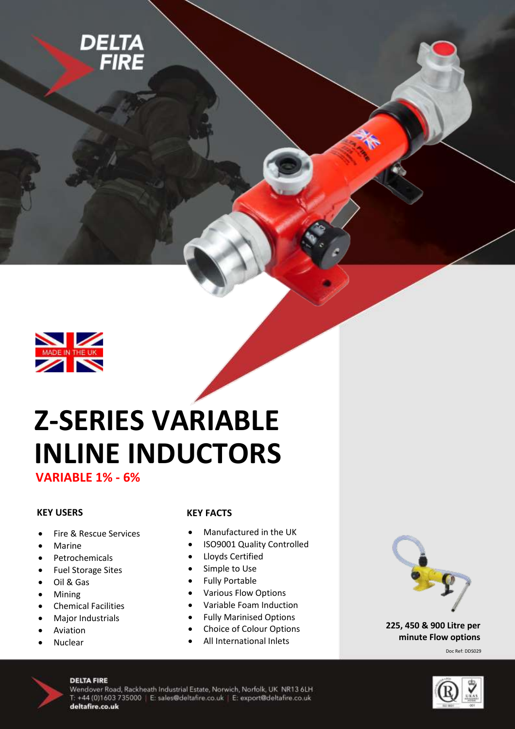



# **Z-SERIES VARIABLE INLINE INDUCTORS**

**VARIABLE 1% - 6%** 

## **KEY USERS**

- Fire & Rescue Services
- Marine
- Petrochemicals
- Fuel Storage Sites
- Oil & Gas
- Mining
- Chemical Facilities
- Major Industrials
- Aviation
- Nuclear

## **KEY FACTS**

- Manufactured in the UK
- ISO9001 Quality Controlled
- Lloyds Certified
- Simple to Use
- Fully Portable
- Various Flow Options
- Variable Foam Induction
- Fully Marinised Options
- Choice of Colour Options
- All International Inlets



**225, 450 & 900 Litre per minute Flow options**

Doc Ref: DDS029



## **DELTA FIRE**

Wendover Road, Rackheath Industrial Estate, Norwich, Norfolk, UK NR13 6LH T: +44 (0)1603 735000 | E: sales@deltafire.co.uk | E: export@deltafire.co.uk deltafire.co.uk

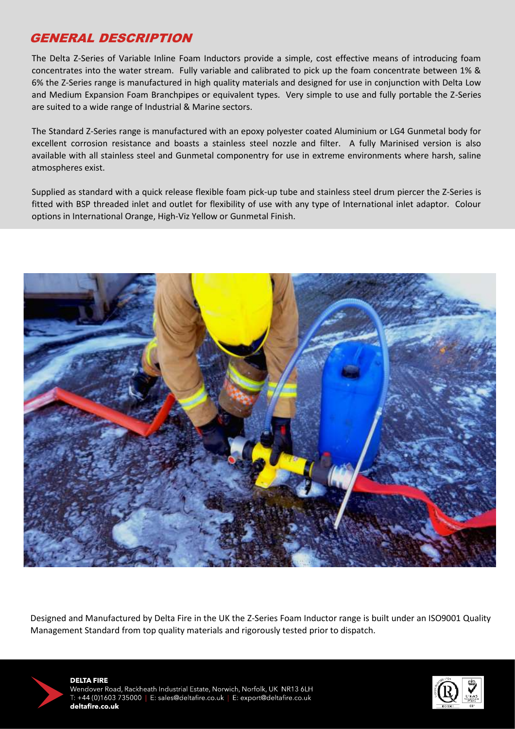## GENERAL DESCRIPTION

The Delta Z-Series of Variable Inline Foam Inductors provide a simple, cost effective means of introducing foam concentrates into the water stream. Fully variable and calibrated to pick up the foam concentrate between 1% & 6% the Z-Series range is manufactured in high quality materials and designed for use in conjunction with Delta Low and Medium Expansion Foam Branchpipes or equivalent types. Very simple to use and fully portable the Z-Series are suited to a wide range of Industrial & Marine sectors.

The Standard Z-Series range is manufactured with an epoxy polyester coated Aluminium or LG4 Gunmetal body for excellent corrosion resistance and boasts a stainless steel nozzle and filter. A fully Marinised version is also available with all stainless steel and Gunmetal componentry for use in extreme environments where harsh, saline atmospheres exist.

Supplied as standard with a quick release flexible foam pick-up tube and stainless steel drum piercer the Z-Series is fitted with BSP threaded inlet and outlet for flexibility of use with any type of International inlet adaptor. Colour options in International Orange, High-Viz Yellow or Gunmetal Finish.



Designed and Manufactured by Delta Fire in the UK the Z-Series Foam Inductor range is built under an ISO9001 Quality Management Standard from top quality materials and rigorously tested prior to dispatch.



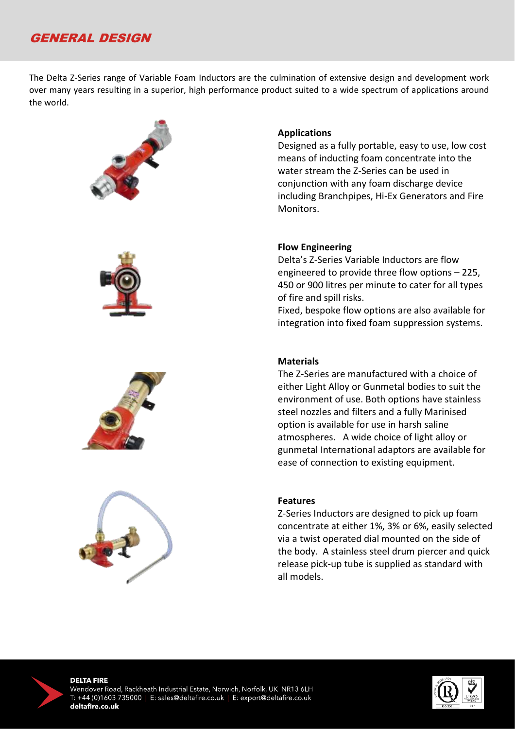## GENERAL DESIGN

The Delta Z-Series range of Variable Foam Inductors are the culmination of extensive design and development work over many years resulting in a superior, high performance product suited to a wide spectrum of applications around the world.









## **Applications**

Designed as a fully portable, easy to use, low cost means of inducting foam concentrate into the water stream the Z-Series can be used in conjunction with any foam discharge device including Branchpipes, Hi-Ex Generators and Fire Monitors.

## **Flow Engineering**

Delta's Z-Series Variable Inductors are flow engineered to provide three flow options – 225, 450 or 900 litres per minute to cater for all types of fire and spill risks.

Fixed, bespoke flow options are also available for integration into fixed foam suppression systems.

## **Materials**

The Z-Series are manufactured with a choice of either Light Alloy or Gunmetal bodies to suit the environment of use. Both options have stainless steel nozzles and filters and a fully Marinised option is available for use in harsh saline atmospheres. A wide choice of light alloy or gunmetal International adaptors are available for ease of connection to existing equipment.

#### **Features**

Z-Series Inductors are designed to pick up foam concentrate at either 1%, 3% or 6%, easily selected via a twist operated dial mounted on the side of the body. A stainless steel drum piercer and quick release pick-up tube is supplied as standard with all models.